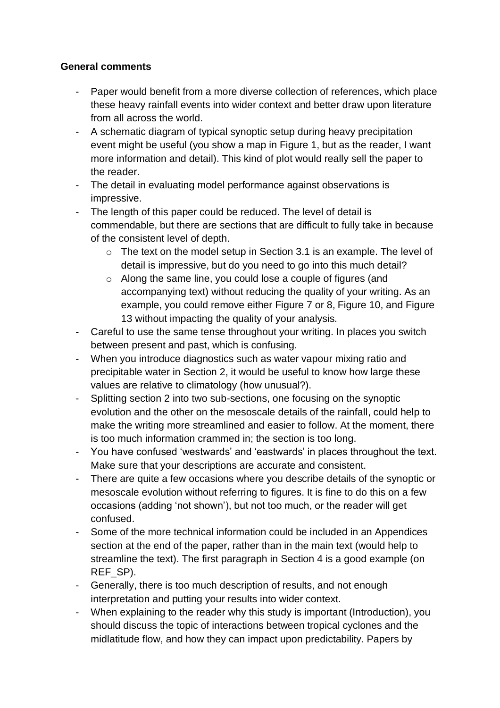## **General comments**

- Paper would benefit from a more diverse collection of references, which place these heavy rainfall events into wider context and better draw upon literature from all across the world.
- A schematic diagram of typical synoptic setup during heavy precipitation event might be useful (you show a map in Figure 1, but as the reader, I want more information and detail). This kind of plot would really sell the paper to the reader.
- The detail in evaluating model performance against observations is impressive.
- The length of this paper could be reduced. The level of detail is commendable, but there are sections that are difficult to fully take in because of the consistent level of depth.
	- o The text on the model setup in Section 3.1 is an example. The level of detail is impressive, but do you need to go into this much detail?
	- o Along the same line, you could lose a couple of figures (and accompanying text) without reducing the quality of your writing. As an example, you could remove either Figure 7 or 8, Figure 10, and Figure 13 without impacting the quality of your analysis.
- Careful to use the same tense throughout your writing. In places you switch between present and past, which is confusing.
- When you introduce diagnostics such as water vapour mixing ratio and precipitable water in Section 2, it would be useful to know how large these values are relative to climatology (how unusual?).
- Splitting section 2 into two sub-sections, one focusing on the synoptic evolution and the other on the mesoscale details of the rainfall, could help to make the writing more streamlined and easier to follow. At the moment, there is too much information crammed in; the section is too long.
- You have confused 'westwards' and 'eastwards' in places throughout the text. Make sure that your descriptions are accurate and consistent.
- There are quite a few occasions where you describe details of the synoptic or mesoscale evolution without referring to figures. It is fine to do this on a few occasions (adding 'not shown'), but not too much, or the reader will get confused.
- Some of the more technical information could be included in an Appendices section at the end of the paper, rather than in the main text (would help to streamline the text). The first paragraph in Section 4 is a good example (on REF\_SP).
- Generally, there is too much description of results, and not enough interpretation and putting your results into wider context.
- When explaining to the reader why this study is important (Introduction), you should discuss the topic of interactions between tropical cyclones and the midlatitude flow, and how they can impact upon predictability. Papers by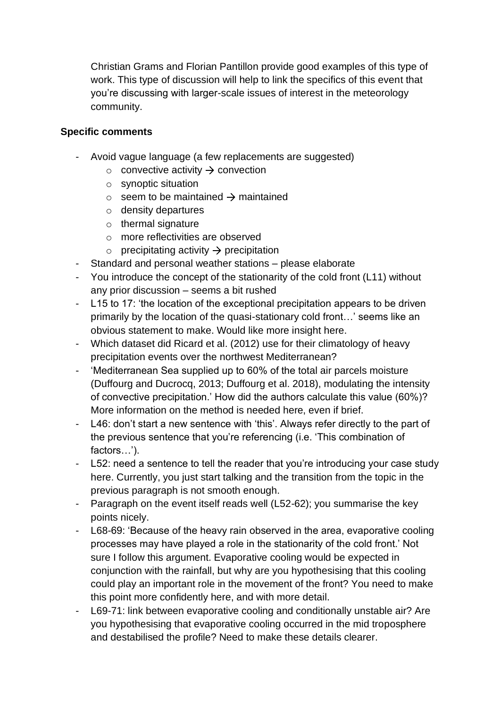Christian Grams and Florian Pantillon provide good examples of this type of work. This type of discussion will help to link the specifics of this event that you're discussing with larger-scale issues of interest in the meteorology community.

## **Specific comments**

- Avoid vague language (a few replacements are suggested)
	- $\circ$  convective activity  $\rightarrow$  convection
	- o synoptic situation
	- $\circ$  seem to be maintained  $\rightarrow$  maintained
	- o density departures
	- $\circ$  thermal signature
	- o more reflectivities are observed
	- $\circ$  precipitating activity  $\rightarrow$  precipitation
- Standard and personal weather stations please elaborate
- You introduce the concept of the stationarity of the cold front (L11) without any prior discussion – seems a bit rushed
- L15 to 17: 'the location of the exceptional precipitation appears to be driven primarily by the location of the quasi-stationary cold front…' seems like an obvious statement to make. Would like more insight here.
- Which dataset did Ricard et al. (2012) use for their climatology of heavy precipitation events over the northwest Mediterranean?
- 'Mediterranean Sea supplied up to 60% of the total air parcels moisture (Duffourg and Ducrocq, 2013; Duffourg et al. 2018), modulating the intensity of convective precipitation.' How did the authors calculate this value (60%)? More information on the method is needed here, even if brief.
- L46: don't start a new sentence with 'this'. Always refer directly to the part of the previous sentence that you're referencing (i.e. 'This combination of factors…').
- L52: need a sentence to tell the reader that you're introducing your case study here. Currently, you just start talking and the transition from the topic in the previous paragraph is not smooth enough.
- Paragraph on the event itself reads well (L52-62); you summarise the key points nicely.
- L68-69: 'Because of the heavy rain observed in the area, evaporative cooling processes may have played a role in the stationarity of the cold front.' Not sure I follow this argument. Evaporative cooling would be expected in conjunction with the rainfall, but why are you hypothesising that this cooling could play an important role in the movement of the front? You need to make this point more confidently here, and with more detail.
- L69-71: link between evaporative cooling and conditionally unstable air? Are you hypothesising that evaporative cooling occurred in the mid troposphere and destabilised the profile? Need to make these details clearer.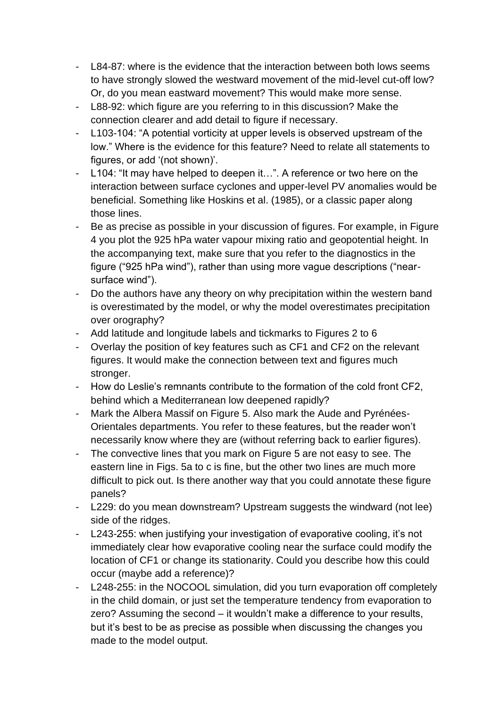- L84-87: where is the evidence that the interaction between both lows seems to have strongly slowed the westward movement of the mid-level cut-off low? Or, do you mean eastward movement? This would make more sense.
- L88-92: which figure are you referring to in this discussion? Make the connection clearer and add detail to figure if necessary.
- L103-104: "A potential vorticity at upper levels is observed upstream of the low." Where is the evidence for this feature? Need to relate all statements to figures, or add '(not shown)'.
- L104: "It may have helped to deepen it…". A reference or two here on the interaction between surface cyclones and upper-level PV anomalies would be beneficial. Something like Hoskins et al. (1985), or a classic paper along those lines.
- Be as precise as possible in your discussion of figures. For example, in Figure 4 you plot the 925 hPa water vapour mixing ratio and geopotential height. In the accompanying text, make sure that you refer to the diagnostics in the figure ("925 hPa wind"), rather than using more vague descriptions ("nearsurface wind").
- Do the authors have any theory on why precipitation within the western band is overestimated by the model, or why the model overestimates precipitation over orography?
- Add latitude and longitude labels and tickmarks to Figures 2 to 6
- Overlay the position of key features such as CF1 and CF2 on the relevant figures. It would make the connection between text and figures much stronger.
- How do Leslie's remnants contribute to the formation of the cold front CF2, behind which a Mediterranean low deepened rapidly?
- Mark the Albera Massif on Figure 5. Also mark the Aude and Pyrénées-Orientales departments. You refer to these features, but the reader won't necessarily know where they are (without referring back to earlier figures).
- The convective lines that you mark on Figure 5 are not easy to see. The eastern line in Figs. 5a to c is fine, but the other two lines are much more difficult to pick out. Is there another way that you could annotate these figure panels?
- L229: do you mean downstream? Upstream suggests the windward (not lee) side of the ridges.
- L243-255: when justifying your investigation of evaporative cooling, it's not immediately clear how evaporative cooling near the surface could modify the location of CF1 or change its stationarity. Could you describe how this could occur (maybe add a reference)?
- L248-255: in the NOCOOL simulation, did you turn evaporation off completely in the child domain, or just set the temperature tendency from evaporation to zero? Assuming the second – it wouldn't make a difference to your results, but it's best to be as precise as possible when discussing the changes you made to the model output.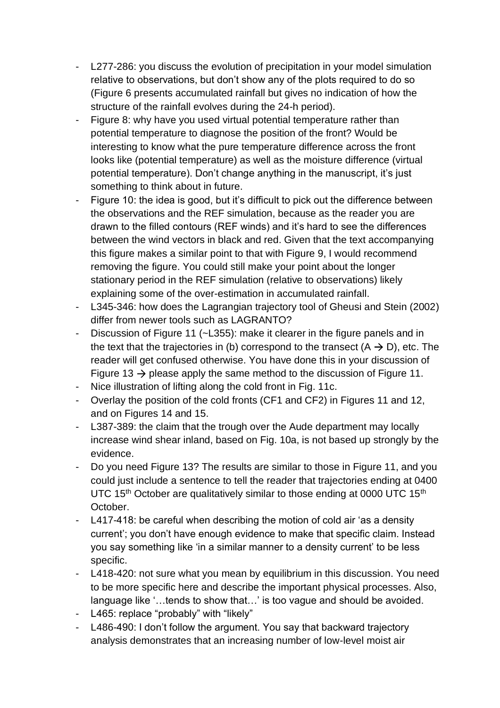- L277-286: you discuss the evolution of precipitation in your model simulation relative to observations, but don't show any of the plots required to do so (Figure 6 presents accumulated rainfall but gives no indication of how the structure of the rainfall evolves during the 24-h period).
- Figure 8: why have you used virtual potential temperature rather than potential temperature to diagnose the position of the front? Would be interesting to know what the pure temperature difference across the front looks like (potential temperature) as well as the moisture difference (virtual potential temperature). Don't change anything in the manuscript, it's just something to think about in future.
- Figure 10: the idea is good, but it's difficult to pick out the difference between the observations and the REF simulation, because as the reader you are drawn to the filled contours (REF winds) and it's hard to see the differences between the wind vectors in black and red. Given that the text accompanying this figure makes a similar point to that with Figure 9, I would recommend removing the figure. You could still make your point about the longer stationary period in the REF simulation (relative to observations) likely explaining some of the over-estimation in accumulated rainfall.
- L345-346: how does the Lagrangian trajectory tool of Gheusi and Stein (2002) differ from newer tools such as LAGRANTO?
- Discussion of Figure 11 (~L355): make it clearer in the figure panels and in the text that the trajectories in (b) correspond to the transect  $(A \rightarrow D)$ , etc. The reader will get confused otherwise. You have done this in your discussion of Figure 13  $\rightarrow$  please apply the same method to the discussion of Figure 11.
- Nice illustration of lifting along the cold front in Fig. 11c.
- Overlay the position of the cold fronts (CF1 and CF2) in Figures 11 and 12, and on Figures 14 and 15.
- L387-389: the claim that the trough over the Aude department may locally increase wind shear inland, based on Fig. 10a, is not based up strongly by the evidence.
- Do you need Figure 13? The results are similar to those in Figure 11, and you could just include a sentence to tell the reader that trajectories ending at 0400 UTC 15<sup>th</sup> October are qualitatively similar to those ending at 0000 UTC 15<sup>th</sup> October.
- L417-418: be careful when describing the motion of cold air 'as a density current'; you don't have enough evidence to make that specific claim. Instead you say something like 'in a similar manner to a density current' to be less specific.
- L418-420: not sure what you mean by equilibrium in this discussion. You need to be more specific here and describe the important physical processes. Also, language like '…tends to show that…' is too vague and should be avoided.
- L465: replace "probably" with "likely"
- L486-490: I don't follow the argument. You say that backward trajectory analysis demonstrates that an increasing number of low-level moist air